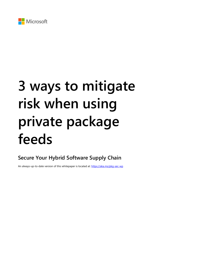

# **3 ways to mitigate risk when using private package feeds**

**Secure Your Hybrid Software Supply Chain**

An always-up-to-date version of this whitepaper is located at:<https://aka.ms/pkg-sec-wp>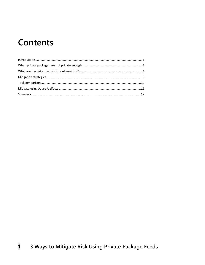### **Contents**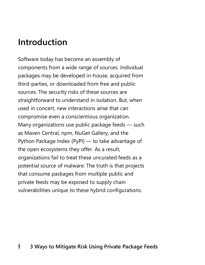### <span id="page-2-0"></span>**Introduction**

Software today has become an assembly of components from a wide range of sources. Individual packages may be developed in-house, acquired from third-parties, or downloaded from free and public sources. The security risks of these sources are straightforward to understand in isolation. But, when used in concert, new interactions arise that can compromise even a conscientious organization. Many organizations use public package feeds — such as Maven Central, npm, NuGet Gallery, and the Python Package Index (PyPI) — to take advantage of the open ecosystems they offer. As a result, organizations fail to treat these uncurated feeds as a potential source of malware. The truth is that projects that consume packages from multiple public and private feeds may be exposed to supply chain vulnerabilities unique to these hybrid configurations.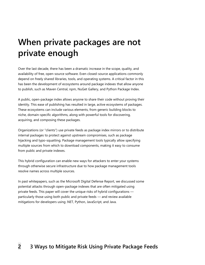## <span id="page-3-0"></span>**When private packages are not private enough**

Over the last decade, there has been a dramatic increase in the scope, quality, and availability of free, open-source software. Even closed-source applications commonly depend on freely shared libraries, tools, and operating systems. A critical factor in this has been the development of ecosystems around package indexes that allow anyone to publish, such as Maven Central, npm, NuGet Gallery, and Python Package Index.

A public, open-package index allows anyone to share their code without proving their identity. This ease of publishing has resulted in large, active ecosystems of packages. These ecosystems can include various elements, from generic building blocks to niche, domain-specific algorithms, along with powerful tools for discovering, acquiring, and composing these packages.

Organizations (or "clients") use private feeds as package index mirrors or to distribute internal packages to protect against upstream compromises, such as package hijacking and typo-squatting. Package management tools typically allow specifying multiple sources from which to download components, making it easy to consume from public and private indexes.

This hybrid configuration can enable new ways for attackers to enter your systems through otherwise secure infrastructure due to how package management tools resolve names across multiple sources.

In past whitepapers, such as the [Microsoft Digital Defense Report,](https://aka.ms/AAb1yk3) we discussed some potential attacks through open-package indexes that are often mitigated using private feeds. This paper will cover the unique risks of hybrid configurations particularly those using both public and private feeds — and review available mitigations for developers using .NET, Python, JavaScript, and Java.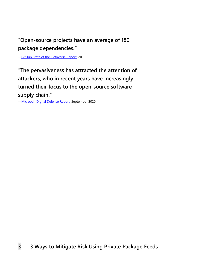### **"Open-source projects have an average of 180 package dependencies."**

—[GitHub State of the Octoverse Report,](https://aka.ms/AAb1qls) 2019

**"The pervasiveness has attracted the attention of attackers, who in recent years have increasingly turned their focus to the open-source software supply chain."** 

—[Microsoft Digital Defense Report,](https://aka.ms/AAb1yk3) September 2020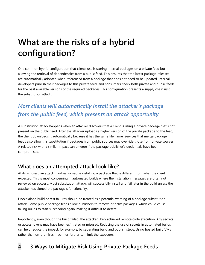## <span id="page-5-0"></span>**What are the risks of a hybrid configuration?**

One common hybrid configuration that clients use is storing internal packages on a private feed but allowing the retrieval of dependencies from a public feed. This ensures that the latest package releases are automatically adopted when referenced from a package that does not need to be updated. Internal developers publish their packages to this private feed, and consumers check both private and public feeds for the best available versions of the required packages. This configuration presents a supply chain risk: the substitution attack.

### *Most clients will automatically install the attacker's package from the public feed, which presents an attack opportunity.*

A substitution attack happens when an attacker discovers that a client is using a private package that's not present on the public feed. After the attacker uploads a higher version of the private package to the feed, the client downloads it automatically because it has the same file name. Services that merge package feeds also allow this substitution if packages from public sources may override those from private sources. A related risk with a similar impact can emerge if the package publisher's credentials have been compromised.

#### **What does an attempted attack look like?**

At its simplest, an attack involves someone installing a package that is different from what the client expected. This is most concerning in automated builds where the installation messages are often not reviewed on success. Most substitution attacks will successfully install and fail later in the build unless the attacker has cloned the package's functionality.

Unexplained build or test failures should be treated as a potential warning of a package substitution attack. Some public package feeds allow publishers to remove or delist packages, which could cause failing builds to start succeeding again, making it difficult to detect.

Importantly, even though the build failed, the attacker likely achieved remote code execution. Any secrets or access tokens may have been exfiltrated or misused. Reducing the use of secrets in automated builds can help reduce the impact, for example, by separating build and publish steps. Using hosted build VMs rather than on-premises machines further can limit the exposure.

#### **4 3 Ways to Mitigate Risk Using Private Package Feeds**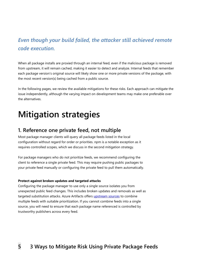### *Even though your build failed, the attacker still achieved remote code execution.*

When all package installs are proxied through an internal feed, even if the malicious package is removed from upstream, it will remain cached, making it easier to detect and analyze. Internal feeds that remember each package version's original source will likely show one or more private versions of the package, with the most recent version(s) being cached from a public source.

In the following pages, we review the available mitigations for these risks. Each approach can mitigate the issue independently, although the varying impact on development teams may make one preferable over the alternatives.

### <span id="page-6-0"></span>**Mitigation strategies**

#### **1. Reference one private feed, not multiple**

Most package manager clients will query all package feeds listed in the local configuration without regard for order or priorities. npm is a notable exception as it requires controlled scopes, which we discuss in the second mitigation strategy.

For package managers who do not prioritize feeds, we recommend configuring the client to reference a single private feed. This may require pushing public packages to your private feed manually or configuring the private feed to pull them automatically.

#### **Protect against broken updates and targeted attacks**

Configuring the package manager to use only a single source isolates you from unexpected public feed changes. This includes broken updates and removals as well as targeted substitution attacks. Azure Artifacts offers [upstream](https://aka.ms/AAb1ykb) sources to combine multiple feeds with suitable prioritization. If you cannot combine feeds into a single source, you will need to ensure that each package name referenced is controlled by trustworthy publishers across every feed.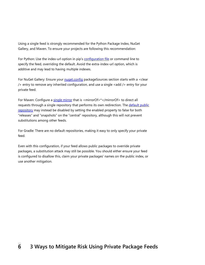Using a single feed is strongly recommended for the Python Package Index, NuGet Gallery, and Maven. To ensure your projects are following this recommendation:

For Python: Use the index-url option in pip's [configuration file](https://aka.ms/AAb1qmw) or command line to specify the feed, overriding the default. Avoid the extra-index-url option, which is additive and may lead to having multiple indexes.

For NuGet Gallery: Ensure your [nuget.config](https://aka.ms/AAb1qn0) packageSources section starts with a <clear /> entry to remove any inherited configuration, and use a single <add /> entry for your private feed.

For Maven: Configure a [single mirror](https://aka.ms/AAb1yl5) that is <mirrorOf>\*</mirrorOf> to direct all requests through a single repository that performs its own redirection. The default public [repository](https://aka.ms/AAb1qnc) may instead be disabled by setting the enabled property to false for both "releases" and "snapshots" on the "central" repository, although this will not prevent substitutions among other feeds.

For Gradle: There are no default repositories, making it easy to only specify your private feed.

Even with this configuration, if your feed allows public packages to override private packages, a substitution attack may still be possible. You should either ensure your feed is configured to disallow this, claim your private packages' names on the public index, or use another mitigation.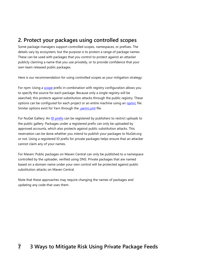#### **2. Protect your packages using controlled scopes**

Some package managers support controlled scopes, namespaces, or prefixes. The details vary by ecosystem, but the purpose is to protect a range of package names. These can be used with packages that you control to protect against an attacker publicly claiming a name that you use privately, or to provide confidence that your own team released public packages.

Here is our recommendation for using controlled scopes as your mitigation strategy:

For npm: Using a **scope** prefix in combination with registry configuration allows you to specify the source for each package. Because only a single registry will be searched, this protects against substitution attacks through the public registry. These options can be configured for each project or an entire machine using an nomic file. Similar options exist for Yarn through the **yarnrc.yml** file.

For NuGet Gallery: An [ID prefix](https://aka.ms/AAb1ylm) can be registered by publishers to restrict uploads to the public gallery. Packages under a registered prefix can only be uploaded by approved accounts, which also protects against public substitution attacks. This reservation can be done whether you intend to publish your packages to NuGet.org or not. Using a registered ID prefix for private packages helps ensure that an attacker cannot claim any of your names.

For Maven: Public packages on Maven Central can only be published to a namespace controlled by the uploader, verified using DNS. Private packages that are named based on a domain name under your own control will be protected against public substitution attacks on Maven Central.

Note that these approaches may require changing the names of packages and updating any code that uses them.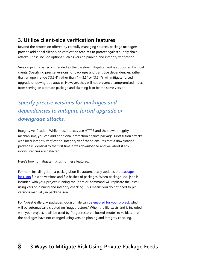#### **3. Utilize client-side verification features**

Beyond the protection offered by carefully managing sources, package managers provide additional client-side verification features to protect against supply chain attacks. These include options such as version pinning and integrity verification.

Version pinning is recommended as the baseline mitigation and is supported by most clients. Specifying precise versions for packages and transitive dependencies, rather than an open range ("3.5.4" rather than ">=3.5" or "3.5.\*"), will mitigate forced upgrade or downgrade attacks. However, they will not prevent a compromised index from serving an alternate package and claiming it to be the same version.

### *Specify precise versions for packages and dependencies to mitigate forced upgrade or downgrade attacks.*

Integrity verification: While most indexes use HTTPS and their own integrity mechanisms, you can add additional protection against package substitution attacks with local integrity verification. Integrity verification ensures that a downloaded package is identical to the first time it was downloaded and will abort if any inconsistencies are detected.

Here's how to mitigate risk using these features:

For npm: Installing from a package.json file automatically updates the [package](https://aka.ms/AAbhh6e)[lock.json](https://aka.ms/AAbhh6e) file with versions and file hashes of packages. When package-lock.json is included with your project, running the "npm ci" command will replicate the install using version pinning and integrity checking. This means you do not need to pin versions manually in package.json.

For NuGet Gallery: A packages.lock.json file can be [enabled for your project,](https://aka.ms/AAb2e0u) which will be automatically created on "nuget restore." When the file exists and is included with your project, it will be used by "nuget restore --locked-mode" to validate that the packages have not changed using version pinning and integrity checking.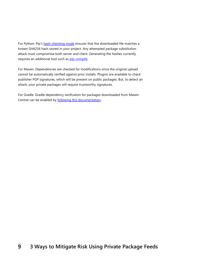For Python: Pip's [hash-checking mode](https://aka.ms/AAb1qo5) ensures that the downloaded file matches a known SHA256 hash stored in your project. Any attempted package substitution attack must compromise both server and client. Generating the hashes currently requires an additional tool such as [pip-compile.](https://aka.ms/AAb1qo9)

For Maven: Dependencies are checked for modifications since the original upload cannot be automatically verified against prior installs. Plugins are available to check publisher PGP signatures, which will be present on public packages. But, to detect an attack, your private packages will require trustworthy signatures.

For Gradle: Gradle dependency verification for packages downloaded from Maven Central can be enabled by [following this documentation.](https://aka.ms/AAb1ym7)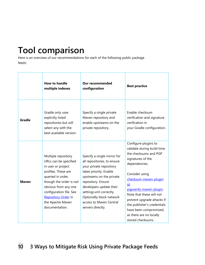# <span id="page-11-0"></span>**Tool comparison**

Here is an overview of our recommendations for each of the following public package feeds:

|               | <b>How to handle</b><br>multiple indexes                                                                                                                                                                                                                  | <b>Our recommended</b><br>configuration                                                                                                                                                                                                                                                             | <b>Best practice</b>                                                                                                                                                                                                                                                                                                                                             |
|---------------|-----------------------------------------------------------------------------------------------------------------------------------------------------------------------------------------------------------------------------------------------------------|-----------------------------------------------------------------------------------------------------------------------------------------------------------------------------------------------------------------------------------------------------------------------------------------------------|------------------------------------------------------------------------------------------------------------------------------------------------------------------------------------------------------------------------------------------------------------------------------------------------------------------------------------------------------------------|
| <b>Gradle</b> | Gradle only uses<br>explicitly listed<br>repositories but will<br>select any with the<br>best available version.                                                                                                                                          | Specify a single private<br>Maven repository and<br>enable upstreams on the<br>private repository.                                                                                                                                                                                                  | Enable checksum<br>verification and signature<br>verification in<br>your Gradle configuration.                                                                                                                                                                                                                                                                   |
| <b>Maven</b>  | Multiple repository<br>URLs can be specified<br>in user or project<br>profiles. These are<br>queried in order,<br>though the order is not<br>obvious from any one<br>configuration file. See<br>Repository Order in<br>the Apache Maven<br>documentation. | Specify a single mirror for<br>all repositories, to ensure<br>your private repository<br>takes priority. Enable<br>upstreams on the private<br>repository. Ensure<br>developers update their<br>settings.xml correctly.<br>Optionally block network<br>access to Maven Central<br>servers directly. | Configure plugins to<br>validate during build time<br>the checksums and PGP<br>signatures of the<br>dependencies.<br>Consider using<br>checksum-maven-plugin<br>or<br>pqpverify-maven-plugin.<br>Note that these will not<br>prevent upgrade attacks if<br>the publisher's credentials<br>have been compromised,<br>as there are no locally<br>stored checksums. |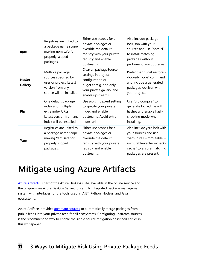| npm                            | Registries are linked to<br>a package name scope,<br>making npm safe for<br>properly scoped<br>packages.              | Either use scopes for all<br>private packages or<br>override the default<br>registry with your private<br>registry and enable<br>upstreams.    | Also include package-<br>lock.json with your<br>sources and use "npm ci"<br>to install matching<br>packages without<br>performing any upgrades.                      |
|--------------------------------|-----------------------------------------------------------------------------------------------------------------------|------------------------------------------------------------------------------------------------------------------------------------------------|----------------------------------------------------------------------------------------------------------------------------------------------------------------------|
| <b>NuGet</b><br><b>Gallery</b> | Multiple package<br>sources specified by<br>user or project. Latest<br>version from any<br>source will be installed.  | Clear all packageSource<br>settings in project<br>configuration or<br>nuget.config, add only<br>your private gallery, and<br>enable upstreams. | Prefer the "nuget restore -<br>-locked-mode" command<br>and include a generated<br>packages.lock.json with<br>your project.                                          |
| <b>Pip</b>                     | One default package<br>index and multiple<br>extra index URLs.<br>Latest version from any<br>index will be installed. | Use pip's index-url setting<br>to specify your private<br>index and enable<br>upstreams. Avoid extra-<br>index-url.                            | Use "pip-compile" to<br>generate locked file with<br>hashes and enable hash-<br>checking mode when<br>installing.                                                    |
| Yarn                           | Registries are linked to<br>a package name scope,<br>making Yarn safe for<br>properly scoped<br>packages.             | Either use scopes for all<br>private packages or<br>override the default<br>registry with your private<br>registry and enable<br>upstreams.    | Also include yarn.lock with<br>your sources and use<br>"yarn install -immutable --<br>immutable-cache --check-<br>cache" to ensure matching<br>packages are present. |

### <span id="page-12-0"></span>**Mitigate using Azure Artifacts**

[Azure Artifacts](https://aka.ms/AAb1yma) is part of the Azure DevOps suite, available in the online service and the on-premises Azure DevOps Server. It is a fully integrated package management system with interfaces for the tools used in .NET, Python, Node.js, and Java ecosystems.

Azure Artifacts provides *upstream sources* to automatically merge packages from public feeds into your private feed for all ecosystems. Configuring upstream sources is the recommended way to enable the single source mitigation described earlier in this whitepaper.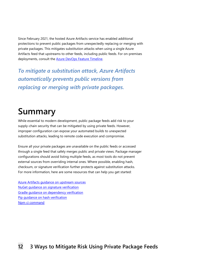Since February 2021, the hosted Azure Artifacts service has enabled additional protections to prevent public packages from unexpectedly replacing or merging with private packages. This mitigates substitution attacks when using a single Azure Artifacts feed that upstreams to other feeds, including public feeds. For on-premises deployments, consult the [Azure DevOps Feature Timeline.](https://aka.ms/AAb1qoh)

*To mitigate a substitution attack, Azure Artifacts automatically prevents public versions from replacing or merging with private packages.*

## <span id="page-13-0"></span>**Summary**

While essential to modern development, public package feeds add risk to your supply-chain security that can be mitigated by using private feeds. However, improper configuration can expose your automated builds to unexpected substitution attacks, leading to remote code execution and compromise.

Ensure all your private packages are unavailable on the public feeds or accessed through a single feed that safely merges public and private views. Package manager configurations should avoid listing multiple feeds, as most tools do not prevent external sources from overriding internal ones. Where possible, enabling hash, checksum, or signature verification further protects against substitution attacks. For more information, here are some resources that can help you get started:

[Azure Artifacts guidance on upstream sources](https://aka.ms/AAb1ymh) [NuGet guidance on signature verification](https://aka.ms/AAb1qol) [Gradle guidance on dependency verification](https://aka.ms/AAb1qoo) [Pip guidance on hash verification](https://aka.ms/AAb1ymv) [Npm ci command](https://aka.ms/AAb1yn0)